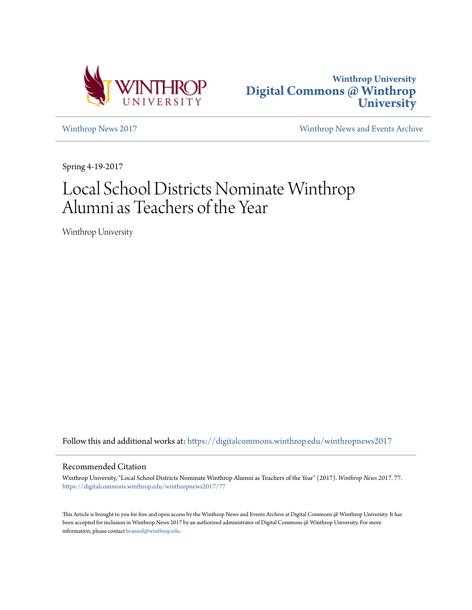



[Winthrop News 2017](https://digitalcommons.winthrop.edu/winthropnews2017?utm_source=digitalcommons.winthrop.edu%2Fwinthropnews2017%2F77&utm_medium=PDF&utm_campaign=PDFCoverPages) [Winthrop News and Events Archive](https://digitalcommons.winthrop.edu/winthropnewsarchives?utm_source=digitalcommons.winthrop.edu%2Fwinthropnews2017%2F77&utm_medium=PDF&utm_campaign=PDFCoverPages)

Spring 4-19-2017

# Local School Districts Nominate Winthrop Alumni as Teachers of the Year

Winthrop University

Follow this and additional works at: [https://digitalcommons.winthrop.edu/winthropnews2017](https://digitalcommons.winthrop.edu/winthropnews2017?utm_source=digitalcommons.winthrop.edu%2Fwinthropnews2017%2F77&utm_medium=PDF&utm_campaign=PDFCoverPages)

#### Recommended Citation

Winthrop University, "Local School Districts Nominate Winthrop Alumni as Teachers of the Year" (2017). *Winthrop News 2017*. 77. [https://digitalcommons.winthrop.edu/winthropnews2017/77](https://digitalcommons.winthrop.edu/winthropnews2017/77?utm_source=digitalcommons.winthrop.edu%2Fwinthropnews2017%2F77&utm_medium=PDF&utm_campaign=PDFCoverPages)

This Article is brought to you for free and open access by the Winthrop News and Events Archive at Digital Commons @ Winthrop University. It has been accepted for inclusion in Winthrop News 2017 by an authorized administrator of Digital Commons @ Winthrop University. For more information, please contact [bramed@winthrop.edu](mailto:bramed@winthrop.edu).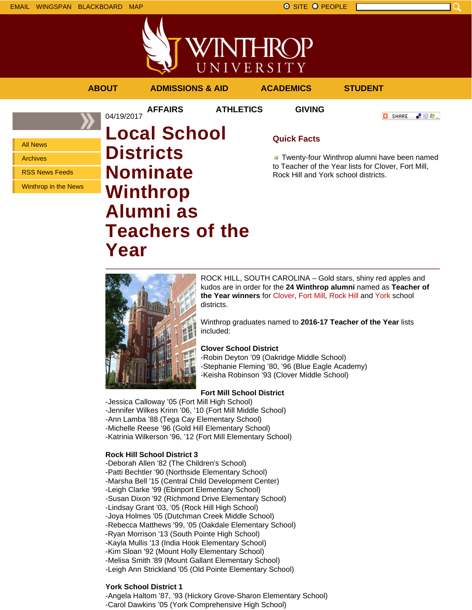



RSS News Feeds

Winthrop in the News

# **Nominate Winthrop Alumni as Teachers of the Year**

to Teacher of the Year lists for Clover, Fort Mill, Rock Hill and York school districts.



ROCK HILL, SOUTH CAROLINA – Gold stars, shiny red apples and kudos are in order for the **24 Winthrop alumni** named as **Teacher of the Year winners** for Clover, Fort Mill, Rock Hill and York school districts.

Winthrop graduates named to **2016-17 Teacher of the Year** lists included:

#### **Clover School District**

-Robin Deyton '09 (Oakridge Middle School) -Stephanie Fleming '80, '96 (Blue Eagle Academy) -Keisha Robinson '93 (Clover Middle School)

## **Fort Mill School District**

-Jessica Calloway '05 (Fort Mill High School) -Jennifer Wilkes Krinn '06, '10 (Fort Mill Middle School) -Ann Lamba '88 (Tega Cay Elementary School) -Michelle Reese '96 (Gold Hill Elementary School) -Katrinia Wilkerson '96, '12 (Fort Mill Elementary School)

## **Rock Hill School District 3**

-Deborah Allen '82 (The Children's School) -Patti Bechtler '90 (Northside Elementary School) -Marsha Bell '15 (Central Child Development Center) -Leigh Clarke '99 (Ebinport Elementary School) -Susan Dixon '92 (Richmond Drive Elementary School) -Lindsay Grant '03, '05 (Rock Hill High School) -Joya Holmes '05 (Dutchman Creek Middle School) -Rebecca Matthews '99, '05 (Oakdale Elementary School) -Ryan Morrison '13 (South Pointe High School) -Kayla Mullis '13 (India Hook Elementary School) -Kim Sloan '92 (Mount Holly Elementary School) -Melisa Smith '89 (Mount Gallant Elementary School) -Leigh Ann Strickland '05 (Old Pointe Elementary School)

# **York School District 1**

-Angela Haltom '87, '93 (Hickory Grove-Sharon Elementary School) -Carol Dawkins '05 (York Comprehensive High School)